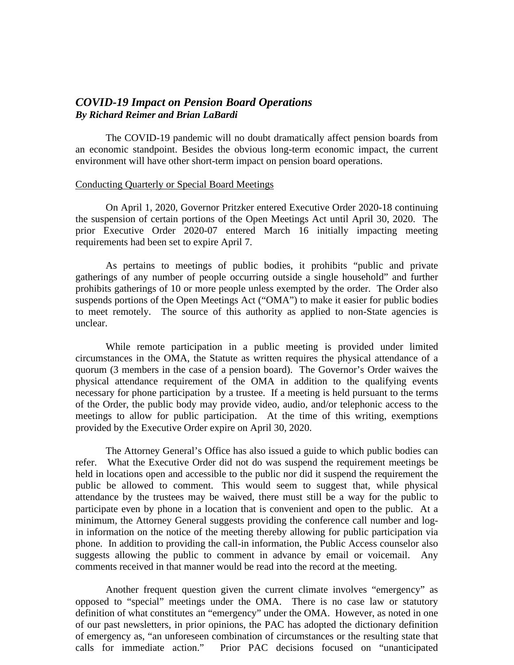## *COVID-19 Impact on Pension Board Operations By Richard Reimer and Brian LaBardi*

The COVID-19 pandemic will no doubt dramatically affect pension boards from an economic standpoint. Besides the obvious long-term economic impact, the current environment will have other short-term impact on pension board operations.

## Conducting Quarterly or Special Board Meetings

On April 1, 2020, Governor Pritzker entered Executive Order 2020-18 continuing the suspension of certain portions of the Open Meetings Act until April 30, 2020. The prior Executive Order 2020-07 entered March 16 initially impacting meeting requirements had been set to expire April 7.

As pertains to meetings of public bodies, it prohibits "public and private gatherings of any number of people occurring outside a single household" and further prohibits gatherings of 10 or more people unless exempted by the order. The Order also suspends portions of the Open Meetings Act ("OMA") to make it easier for public bodies to meet remotely. The source of this authority as applied to non-State agencies is unclear.

While remote participation in a public meeting is provided under limited circumstances in the OMA, the Statute as written requires the physical attendance of a quorum (3 members in the case of a pension board). The Governor's Order waives the physical attendance requirement of the OMA in addition to the qualifying events necessary for phone participation by a trustee. If a meeting is held pursuant to the terms of the Order, the public body may provide video, audio, and/or telephonic access to the meetings to allow for public participation. At the time of this writing, exemptions provided by the Executive Order expire on April 30, 2020.

The Attorney General's Office has also issued a guide to which public bodies can refer. What the Executive Order did not do was suspend the requirement meetings be held in locations open and accessible to the public nor did it suspend the requirement the public be allowed to comment. This would seem to suggest that, while physical attendance by the trustees may be waived, there must still be a way for the public to participate even by phone in a location that is convenient and open to the public. At a minimum, the Attorney General suggests providing the conference call number and login information on the notice of the meeting thereby allowing for public participation via phone. In addition to providing the call-in information, the Public Access counselor also suggests allowing the public to comment in advance by email or voicemail. Any comments received in that manner would be read into the record at the meeting.

Another frequent question given the current climate involves "emergency" as opposed to "special" meetings under the OMA. There is no case law or statutory definition of what constitutes an "emergency" under the OMA. However, as noted in one of our past newsletters, in prior opinions, the PAC has adopted the dictionary definition of emergency as, "an unforeseen combination of circumstances or the resulting state that calls for immediate action." Prior PAC decisions focused on "unanticipated